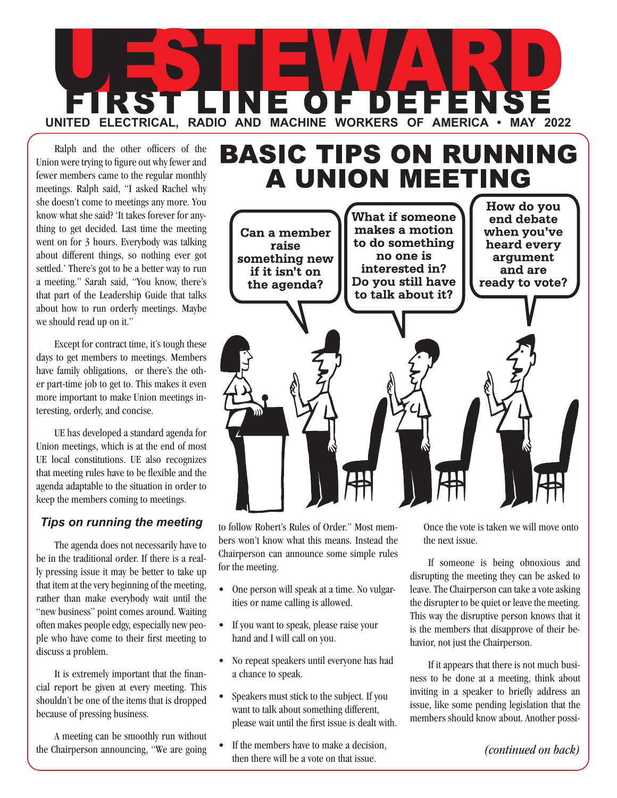

Ralph and the other officers of the Union were trying to figure out why fewer and fewer members came to the regular monthly meetings. Ralph said, "I asked Rachel why she doesn't come to meetings any more. You know what she said? 'It takes forever for anything to get decided. Last time the meeting went on for 3 hours. Everybody was talking about different things, so nothing ever got settled.' There's got to be a better way to run a meeting." Sarah said, "You know, there's that part of the Leadership Guide that talks about how to run orderly meetings. Maybe we should read up on it."

Except for contract time, it's tough these days to get members to meetings. Members have family obligations, or there's the other part-time job to get to. This makes it even more important to make Union meetings interesting, orderly, and concise.

UE has developed a standard agenda for Union meetings, which is at the end of most UE local constitutions. UE also recognizes that meeting rules have to be flexible and the agenda adaptable to the situation in order to keep the members coming to meetings.

## *Tips on running the meeting*

The agenda does not necessarily have to be in the traditional order. If there is a really pressing issue it may be better to take up that item at the very beginning of the meeting, rather than make everybody wait until the "new business" point comes around. Waiting often makes people edgy, especially new people who have come to their first meeting to discuss a problem.

It is extremely important that the financial report be given at every meeting. This shouldn't be one of the items that is dropped because of pressing business.

A meeting can be smoothly run without the Chairperson announcing, "We are going





to follow Robert's Rules of Order." Most members won't know what this means. Instead the Chairperson can announce some simple rules for the meeting.

- One person will speak at a time. No vulgarities or name calling is allowed.
- If you want to speak, please raise your hand and I will call on you.
- No repeat speakers until everyone has had a chance to speak.
- Speakers must stick to the subject. If you want to talk about something different, please wait until the first issue is dealt with.
- If the members have to make a decision. then there will be a vote on that issue.

Once the vote is taken we will move onto the next issue.

If someone is being obnoxious and disrupting the meeting they can be asked to leave. The Chairperson can take a vote asking the disrupter to be quiet or leave the meeting. This way the disruptive person knows that it is the members that disapprove of their behavior, not just the Chairperson.

If it appears that there is not much business to be done at a meeting, think about inviting in a speaker to briefly address an issue, like some pending legislation that the members should know about. Another possi-

*(continued on back)*